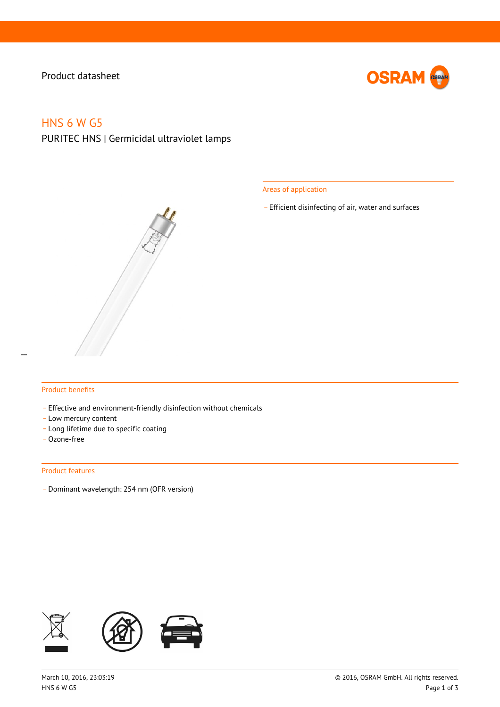# Product datasheet



# HNS 6 W G5

PURITEC HNS | Germicidal ultraviolet lamps

Areas of application

\_ Efficient disinfecting of air, water and surfaces

#### Product benefits

- Effective and environment-friendly disinfection without chemicals
- Low mercury content
- \_ Long lifetime due to specific coating
- \_ Ozone-free

#### Product features

\_ Dominant wavelength: 254 nm (OFR version)

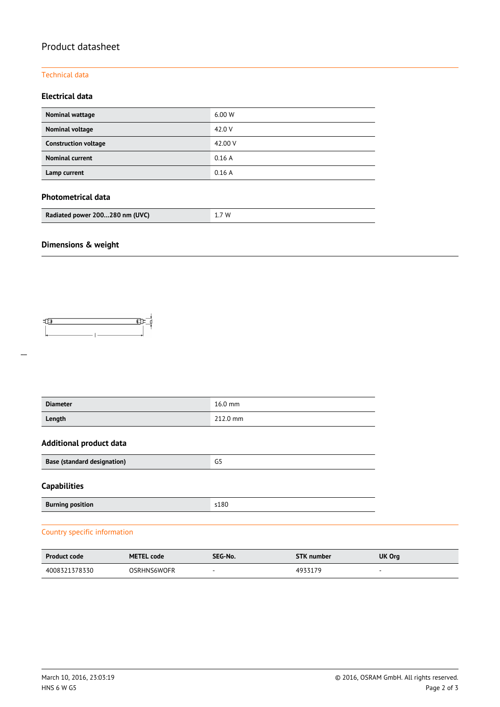# Product datasheet

## Technical data

## **Electrical data**

| Nominal wattage             | 6.00 W  |
|-----------------------------|---------|
| Nominal voltage             | 42.0 V  |
| <b>Construction voltage</b> | 42.00 V |
| <b>Nominal current</b>      | 0.16A   |
| Lamp current                | 0.16A   |

## **Photometrical data**

| Radiated power 200280 nm (UVC) | 1.7W |
|--------------------------------|------|
|--------------------------------|------|

# **Dimensions & weight**



| <b>Diameter</b>                    | $16.0$ mm |  |  |
|------------------------------------|-----------|--|--|
| Length                             | 212.0 mm  |  |  |
| <b>Additional product data</b>     |           |  |  |
| <b>Base (standard designation)</b> | G5        |  |  |
| <b>Capabilities</b>                |           |  |  |
| <b>Burning position</b>            | s180      |  |  |

## Country specific information

| <b>Product code</b> | <b>METEL code</b>  | SEG-No. | <b>STK</b> number | UK Org |
|---------------------|--------------------|---------|-------------------|--------|
| 4008321378330       | <b>OSRHNS6WOFR</b> | $\sim$  | 4933179           |        |